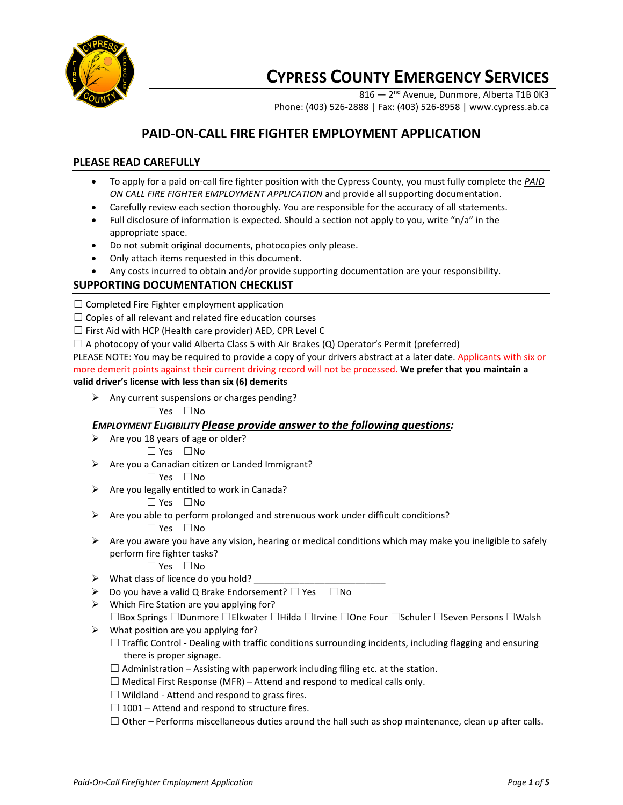

# **CYPRESS COUNTY EMERGENCY SERVICES**

816 — 2<sup>nd</sup> Avenue, Dunmore, Alberta T1B 0K3 Phone: (403) 526-2888 | Fax: (403) 526-8958 | www.cypress.ab.ca

# **PAID-ON-CALL FIRE FIGHTER EMPLOYMENT APPLICATION**

## **PLEASE READ CAREFULLY**

- To apply for a paid on-call fire fighter position with the Cypress County, you must fully complete the *PAID ON CALL FIRE FIGHTER EMPLOYMENT APPLICATION* and provide all supporting documentation.
- Carefully review each section thoroughly. You are responsible for the accuracy of all statements.
- Full disclosure of information is expected. Should a section not apply to you, write "n/a" in the appropriate space.
- Do not submit original documents, photocopies only please.
- Only attach items requested in this document.
- Any costs incurred to obtain and/or provide supporting documentation are your responsibility.

## **SUPPORTING DOCUMENTATION CHECKLIST**

- $\Box$  Completed Fire Fighter employment application
- $\Box$  Copies of all relevant and related fire education courses
- $\Box$  First Aid with HCP (Health care provider) AED, CPR Level C
- $\Box$  A photocopy of your valid Alberta Class 5 with Air Brakes (Q) Operator's Permit (preferred)

PLEASE NOTE: You may be required to provide a copy of your drivers abstract at a later date. Applicants with six or more demerit points against their current driving record will not be processed. **We prefer that you maintain a valid driver's license with less than six (6) demerits**

- $\triangleright$  Any current suspensions or charges pending?
	- ☐ Yes ☐No

#### *EMPLOYMENT ELIGIBILITY Please provide answer to the following questions:*

- $\triangleright$  Are you 18 years of age or older?
	- ☐ Yes ☐No
- $\triangleright$  Are you a Canadian citizen or Landed Immigrant?
	- ☐ Yes ☐No
- $\triangleright$  Are you legally entitled to work in Canada?
	- ☐ Yes ☐No
- $\triangleright$  Are you able to perform prolonged and strenuous work under difficult conditions?

☐ Yes ☐No

- $\triangleright$  Are you aware you have any vision, hearing or medical conditions which may make you ineligible to safely perform fire fighter tasks?
	- ☐ Yes ☐No
- $\triangleright$  What class of licence do you hold?
- $\triangleright$  Do you have a valid Q Brake Endorsement?  $\square$  Yes  $\square$  No
- $\triangleright$  Which Fire Station are you applying for?
	- ☐Box Springs ☐Dunmore ☐Elkwater ☐Hilda ☐Irvine ☐One Four ☐Schuler ☐Seven Persons ☐Walsh
- $\triangleright$  What position are you applying for?
	- $\Box$  Traffic Control Dealing with traffic conditions surrounding incidents, including flagging and ensuring there is proper signage.
	- $\Box$  Administration Assisting with paperwork including filing etc. at the station.
	- $\Box$  Medical First Response (MFR) Attend and respond to medical calls only.
	- $\Box$  Wildland Attend and respond to grass fires.
	- $\Box$  1001 Attend and respond to structure fires.
	- $\Box$  Other Performs miscellaneous duties around the hall such as shop maintenance, clean up after calls.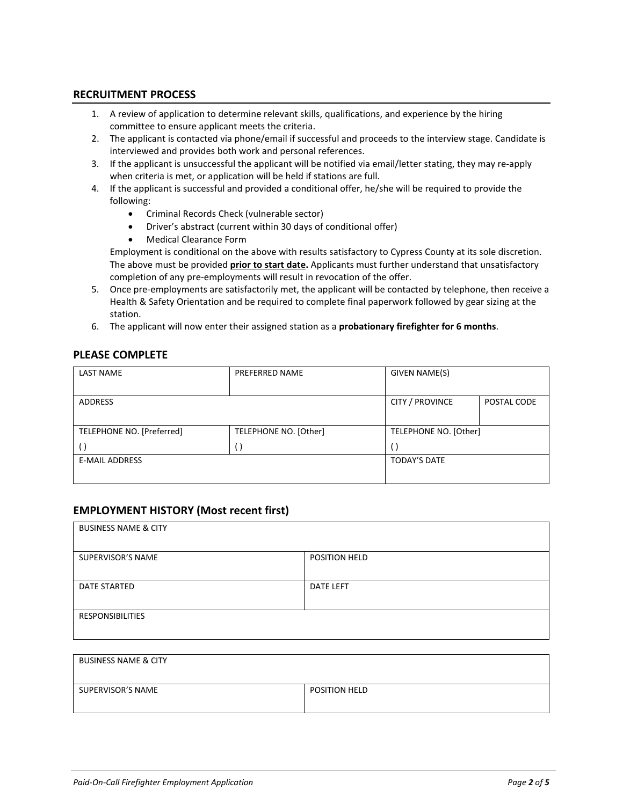#### **RECRUITMENT PROCESS**

- 1. A review of application to determine relevant skills, qualifications, and experience by the hiring committee to ensure applicant meets the criteria.
- 2. The applicant is contacted via phone/email if successful and proceeds to the interview stage. Candidate is interviewed and provides both work and personal references.
- 3. If the applicant is unsuccessful the applicant will be notified via email/letter stating, they may re-apply when criteria is met, or application will be held if stations are full.
- 4. If the applicant is successful and provided a conditional offer, he/she will be required to provide the following:
	- Criminal Records Check (vulnerable sector)
	- Driver's abstract (current within 30 days of conditional offer)
	- Medical Clearance Form

Employment is conditional on the above with results satisfactory to Cypress County at its sole discretion. The above must be provided **prior to start date.** Applicants must further understand that unsatisfactory completion of any pre-employments will result in revocation of the offer.

- 5. Once pre-employments are satisfactorily met, the applicant will be contacted by telephone, then receive a Health & Safety Orientation and be required to complete final paperwork followed by gear sizing at the station.
- 6. The applicant will now enter their assigned station as a **probationary firefighter for 6 months**.

#### **PLEASE COMPLETE**

| <b>LAST NAME</b>          | PREFERRED NAME        | GIVEN NAME(S)          |             |
|---------------------------|-----------------------|------------------------|-------------|
| ADDRESS                   |                       | <b>CITY / PROVINCE</b> | POSTAL CODE |
| TELEPHONE NO. [Preferred] | TELEPHONE NO. [Other] | TELEPHONE NO. [Other]  |             |
|                           |                       | €                      |             |
| <b>E-MAIL ADDRESS</b>     |                       | <b>TODAY'S DATE</b>    |             |
|                           |                       |                        |             |

#### **EMPLOYMENT HISTORY (Most recent first)**

| <b>BUSINESS NAME &amp; CITY</b> |                      |
|---------------------------------|----------------------|
| SUPERVISOR'S NAME               | <b>POSITION HELD</b> |
| DATE STARTED                    | <b>DATE LEFT</b>     |
| <b>RESPONSIBILITIES</b>         |                      |

| <b>BUSINESS NAME &amp; CITY</b> |                      |
|---------------------------------|----------------------|
| SUPERVISOR'S NAME               | <b>POSITION HELD</b> |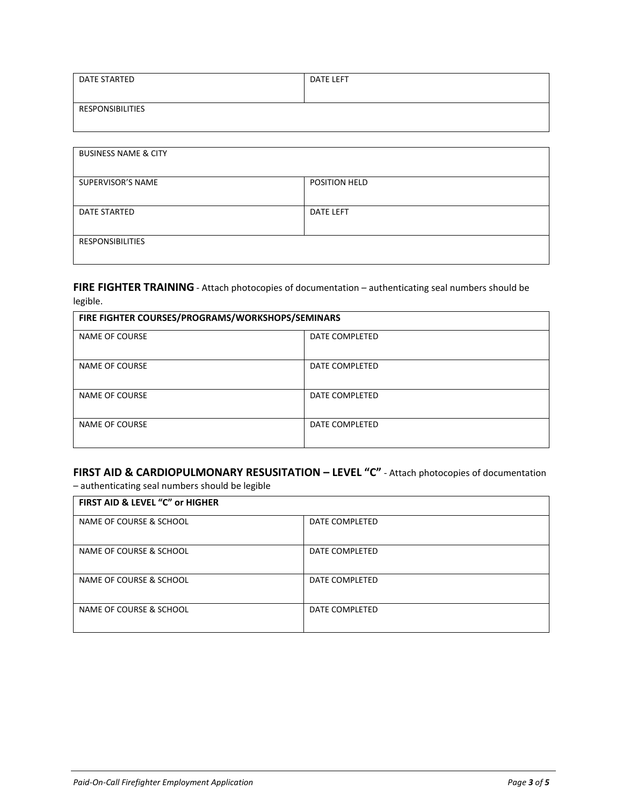| DATE STARTED     | <b>DATE LEFT</b> |
|------------------|------------------|
|                  |                  |
| RESPONSIBILITIES |                  |
|                  |                  |

| <b>BUSINESS NAME &amp; CITY</b> |                      |
|---------------------------------|----------------------|
| SUPERVISOR'S NAME               | <b>POSITION HELD</b> |
| DATE STARTED                    | <b>DATE LEFT</b>     |
| <b>RESPONSIBILITIES</b>         |                      |

## FIRE FIGHTER TRAINING - Attach photocopies of documentation – authenticating seal numbers should be legible.

| FIRE FIGHTER COURSES/PROGRAMS/WORKSHOPS/SEMINARS |                |  |
|--------------------------------------------------|----------------|--|
| NAME OF COURSE                                   | DATE COMPLETED |  |
| NAME OF COURSE                                   | DATE COMPLETED |  |
| NAME OF COURSE                                   | DATE COMPLETED |  |
| NAME OF COURSE                                   | DATE COMPLETED |  |

# **FIRST AID & CARDIOPULMONARY RESUSITATION – LEVEL "C"** - Attach photocopies of documentation

– authenticating seal numbers should be legible

| FIRST AID & LEVEL "C" or HIGHER |                |
|---------------------------------|----------------|
| NAME OF COURSE & SCHOOL         | DATE COMPLETED |
| NAME OF COURSE & SCHOOL         | DATE COMPLETED |
| NAME OF COURSE & SCHOOL         | DATE COMPLETED |
| NAME OF COURSE & SCHOOL         | DATE COMPLETED |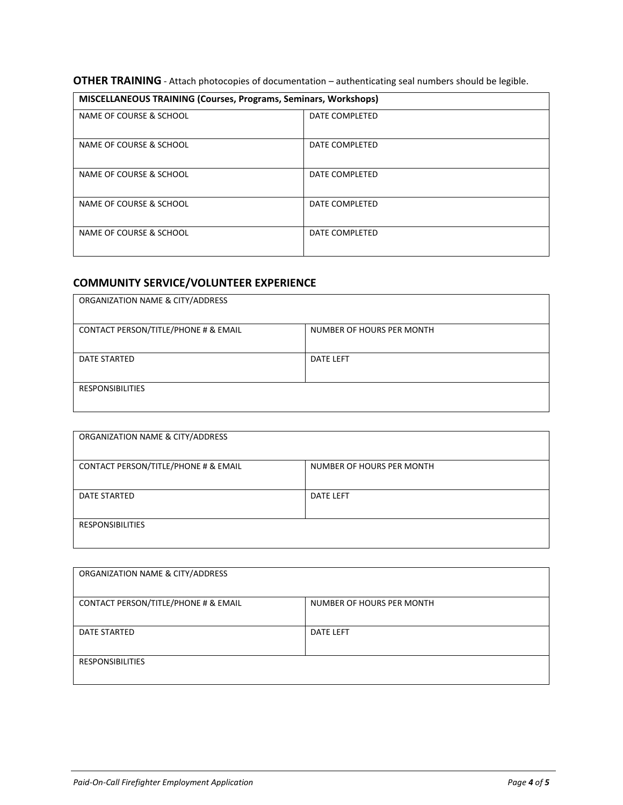## **OTHER TRAINING** - Attach photocopies of documentation – authenticating seal numbers should be legible.

| <b>MISCELLANEOUS TRAINING (Courses, Programs, Seminars, Workshops)</b> |                |
|------------------------------------------------------------------------|----------------|
| NAME OF COURSE & SCHOOL                                                | DATE COMPLETED |
| NAME OF COURSE & SCHOOL                                                | DATE COMPLETED |
| NAME OF COURSE & SCHOOL                                                | DATE COMPLETED |
| NAME OF COURSE & SCHOOL                                                | DATE COMPLETED |
| NAME OF COURSE & SCHOOL                                                | DATE COMPLETED |

# **COMMUNITY SERVICE/VOLUNTEER EXPERIENCE**

| ORGANIZATION NAME & CITY/ADDRESS     |                           |
|--------------------------------------|---------------------------|
| CONTACT PERSON/TITLE/PHONE # & EMAIL | NUMBER OF HOURS PER MONTH |
| <b>DATE STARTED</b>                  | <b>DATE LEFT</b>          |
| <b>RESPONSIBILITIES</b>              |                           |

| ORGANIZATION NAME & CITY/ADDRESS     |                           |
|--------------------------------------|---------------------------|
| CONTACT PERSON/TITLE/PHONE # & EMAIL | NUMBER OF HOURS PER MONTH |
| DATE STARTED                         | <b>DATE LEFT</b>          |
| <b>RESPONSIBILITIES</b>              |                           |

| ORGANIZATION NAME & CITY/ADDRESS     |                           |
|--------------------------------------|---------------------------|
| CONTACT PERSON/TITLE/PHONE # & EMAIL | NUMBER OF HOURS PER MONTH |
| DATE STARTED                         | <b>DATE LEFT</b>          |
| <b>RESPONSIBILITIES</b>              |                           |